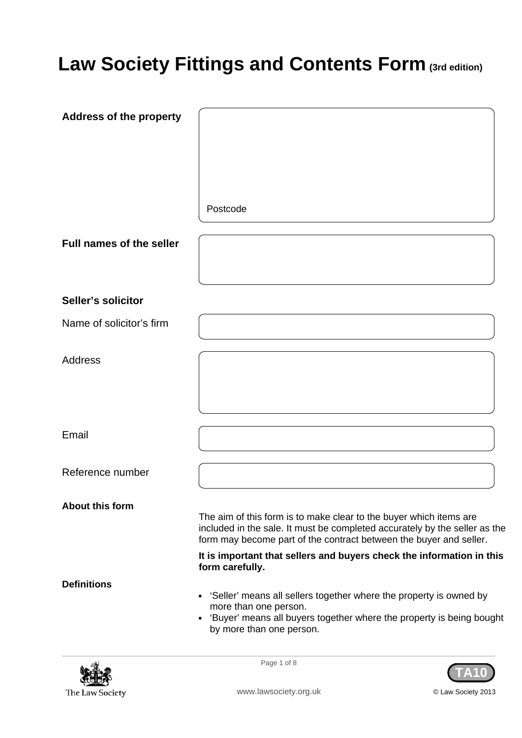# **Law Society Fittings and Contents Form (3rd edition)**

| <b>Address of the property</b>  |                                                                                                                                                                                                                        |
|---------------------------------|------------------------------------------------------------------------------------------------------------------------------------------------------------------------------------------------------------------------|
|                                 |                                                                                                                                                                                                                        |
|                                 |                                                                                                                                                                                                                        |
|                                 |                                                                                                                                                                                                                        |
|                                 | Postcode                                                                                                                                                                                                               |
| <b>Full names of the seller</b> |                                                                                                                                                                                                                        |
|                                 |                                                                                                                                                                                                                        |
| Seller's solicitor              |                                                                                                                                                                                                                        |
| Name of solicitor's firm        |                                                                                                                                                                                                                        |
| <b>Address</b>                  |                                                                                                                                                                                                                        |
|                                 |                                                                                                                                                                                                                        |
|                                 |                                                                                                                                                                                                                        |
| Email                           |                                                                                                                                                                                                                        |
| Reference number                |                                                                                                                                                                                                                        |
| <b>About this form</b>          |                                                                                                                                                                                                                        |
|                                 | The aim of this form is to make clear to the buyer which items are<br>included in the sale. It must be completed accurately by the seller as the<br>form may become part of the contract between the buyer and seller. |
|                                 | It is important that sellers and buyers check the information in this<br>form carefully.                                                                                                                               |
| <b>Definitions</b>              | • 'Seller' means all sellers together where the property is owned by                                                                                                                                                   |
|                                 | more than one person.<br>• 'Buyer' means all buyers together where the property is being bought<br>by more than one person.                                                                                            |
| 嵴                               | Page 1 of 8                                                                                                                                                                                                            |





www.lawsociety.org.uk **DEE CONFING CONTENT** © Law Society 2013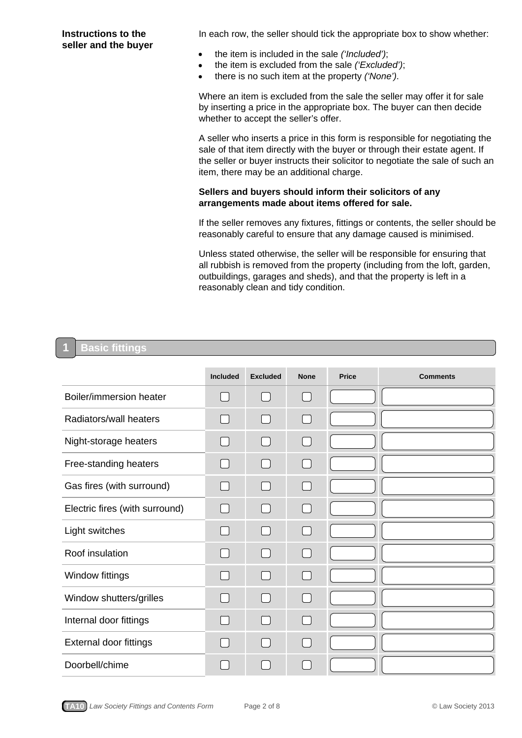**Instructions to the** In each row, the seller should tick the appropriate box to show whether:

- **seller and the buyer**<br>**z** the item is included in the sale *('Included')*;
	- the item is excluded from the sale *('Excluded')*;
	- z there is no such item at the property *('None')*.

Where an item is excluded from the sale the seller may offer it for sale by inserting a price in the appropriate box. The buyer can then decide whether to accept the seller's offer.

A seller who inserts a price in this form is responsible for negotiating the sale of that item directly with the buyer or through their estate agent. If the seller or buyer instructs their solicitor to negotiate the sale of such an item, there may be an additional charge.

## **Sellers and buyers should inform their solicitors of any arrangements made about items offered for sale.**

If the seller removes any fixtures, fittings or contents, the seller should be reasonably careful to ensure that any damage caused is minimised.

Unless stated otherwise, the seller will be responsible for ensuring that all rubbish is removed from the property (including from the loft, garden, outbuildings, garages and sheds), and that the property is left in a reasonably clean and tidy condition.

#### **Basic fittings 1**

|                                | <b>Included</b> | <b>Excluded</b> | <b>None</b>    | <b>Price</b> | <b>Comments</b> |
|--------------------------------|-----------------|-----------------|----------------|--------------|-----------------|
| Boiler/immersion heater        |                 |                 |                |              |                 |
| Radiators/wall heaters         |                 |                 |                |              |                 |
| Night-storage heaters          |                 |                 | $\blacksquare$ |              |                 |
| Free-standing heaters          |                 |                 |                |              |                 |
| Gas fires (with surround)      |                 |                 |                |              |                 |
| Electric fires (with surround) |                 |                 |                |              |                 |
| Light switches                 |                 | $\mathbf{I}$    | $\sim$ 1       |              |                 |
| Roof insulation                |                 |                 |                |              |                 |
| Window fittings                |                 |                 |                |              |                 |
| Window shutters/grilles        |                 |                 | $\Box$         |              |                 |
| Internal door fittings         |                 |                 |                |              |                 |
| External door fittings         |                 |                 |                |              |                 |
| Doorbell/chime                 |                 |                 |                |              |                 |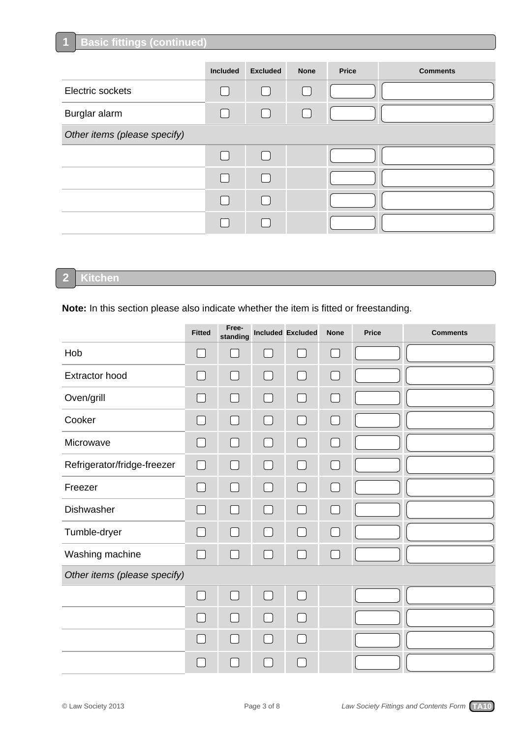## **Basic fittings (continued)**

|                              | Included | <b>Excluded</b> | <b>None</b> | <b>Price</b> | <b>Comments</b> |
|------------------------------|----------|-----------------|-------------|--------------|-----------------|
| Electric sockets             |          |                 | $\sim 10$   |              |                 |
| Burglar alarm                |          |                 | $\Box$      |              |                 |
| Other items (please specify) |          |                 |             |              |                 |
|                              |          |                 |             |              |                 |
|                              |          |                 |             |              |                 |
|                              |          |                 |             |              |                 |
|                              |          |                 |             |              |                 |

**2**

**1**

## **Kitchen**

**Note:** In this section please also indicate whether the item is fitted or freestanding.

|                              | <b>Fitted</b>  | Free-<br>standing |               | Included Excluded                      | <b>None</b> | <b>Price</b> | <b>Comments</b> |
|------------------------------|----------------|-------------------|---------------|----------------------------------------|-------------|--------------|-----------------|
| Hob                          | $\Box$         | $\sim$            | $\Box$        | ΙI                                     | U           |              |                 |
| <b>Extractor hood</b>        | $\Box$         | П                 | $\Box$        | $\Box$                                 | $\Box$      |              |                 |
| Oven/grill                   | $\blacksquare$ | $\Box$            | $\Box$        | П                                      | $\Box$      |              |                 |
| Cooker                       | $\Box$         | $\Box$            | $\Box$        | $\Box$                                 | $\bigcup$   |              |                 |
| Microwave                    |                | $\Box$            | $\mathcal{L}$ | $\Box$                                 | $\sim$      |              |                 |
| Refrigerator/fridge-freezer  | $\Box$         | $\Box$            | $\Box$        | $\Box$                                 | $\Box$      |              |                 |
| Freezer                      | $\Box$         | П                 | $\Box$        | П                                      | $[ \quad ]$ |              |                 |
| Dishwasher                   | $\Box$         | $\Box$            | $\Box$        | $\Box$                                 | $\Box$      |              |                 |
| Tumble-dryer                 | $\Box$         | $\Box$            | $\Box$        | $\Box$                                 | $\Box$      |              |                 |
| Washing machine              | $[ \quad ]$    | $\Box$            | $\mathcal{L}$ | $\begin{array}{c} \square \end{array}$ | $\sim$      |              |                 |
| Other items (please specify) |                |                   |               |                                        |             |              |                 |
|                              | $\Box$         | $\Box$            | $\Box$        | $\Box$                                 |             |              |                 |
|                              |                | П                 | $\Box$        | П                                      |             |              |                 |
|                              | ┓              | $\Box$            | $\Box$        | П                                      |             |              |                 |
|                              |                |                   |               |                                        |             |              |                 |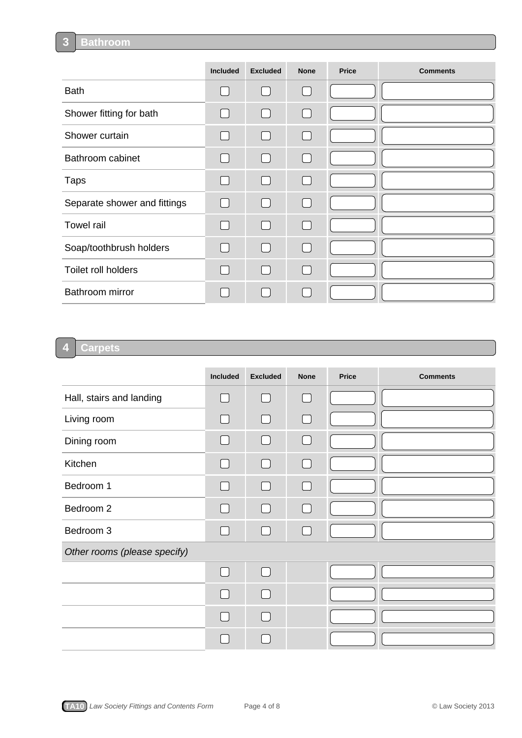#### **Bathroom 3**

|                              | Included     | <b>Excluded</b> | <b>None</b>                            | <b>Price</b> | <b>Comments</b> |
|------------------------------|--------------|-----------------|----------------------------------------|--------------|-----------------|
| <b>Bath</b>                  |              |                 | $\cup$                                 |              |                 |
| Shower fitting for bath      |              |                 | $\Box$                                 |              |                 |
| Shower curtain               | $\Box$       |                 | $[ \ ]$                                |              |                 |
| Bathroom cabinet             |              |                 | $\Box$                                 |              |                 |
| <b>Taps</b>                  | $\mathbf{I}$ |                 | $\begin{array}{c} \square \end{array}$ |              |                 |
| Separate shower and fittings | $\Box$       |                 | $\Box$                                 |              |                 |
| <b>Towel rail</b>            |              |                 | $\Box$                                 |              |                 |
| Soap/toothbrush holders      |              |                 | $\Box$                                 |              |                 |
| Toilet roll holders          |              |                 | $\Box$                                 |              |                 |
| Bathroom mirror              |              |                 |                                        |              |                 |

#### **Carpets 4**

|                              | Included     | <b>Excluded</b> | <b>None</b>                            | <b>Price</b> | <b>Comments</b> |
|------------------------------|--------------|-----------------|----------------------------------------|--------------|-----------------|
| Hall, stairs and landing     |              |                 |                                        |              |                 |
| Living room                  |              |                 | H                                      |              |                 |
| Dining room                  |              |                 |                                        |              |                 |
| Kitchen                      |              |                 | $\begin{array}{c} \square \end{array}$ |              |                 |
| Bedroom 1                    |              |                 | $\blacksquare$                         |              |                 |
| Bedroom 2                    |              |                 | $\Box$                                 |              |                 |
| Bedroom 3                    |              |                 | $[ \quad ]$                            |              |                 |
| Other rooms (please specify) |              |                 |                                        |              |                 |
|                              | $\mathbf{I}$ |                 |                                        |              |                 |
|                              |              |                 |                                        |              |                 |
|                              |              |                 |                                        |              |                 |
|                              |              |                 |                                        |              |                 |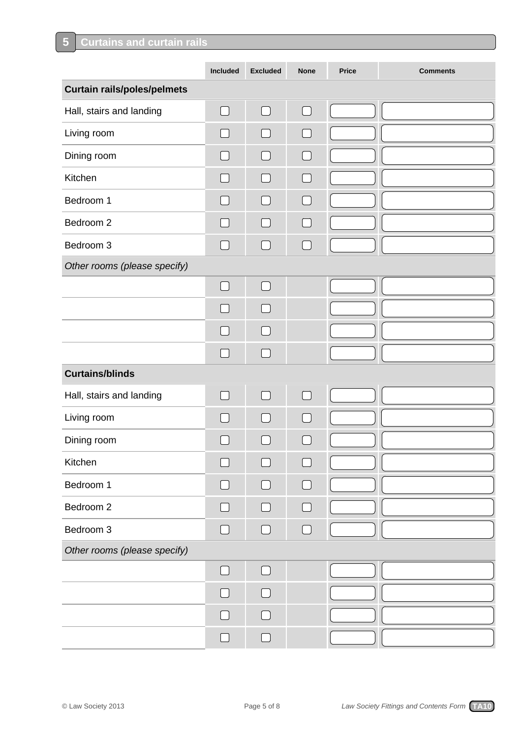|                                    | Included      | <b>Excluded</b> | <b>None</b>       | <b>Price</b> | <b>Comments</b> |
|------------------------------------|---------------|-----------------|-------------------|--------------|-----------------|
| <b>Curtain rails/poles/pelmets</b> |               |                 |                   |              |                 |
| Hall, stairs and landing           | $\Box$        | $\Box$          | $\Box$            |              |                 |
| Living room                        | $\mathcal{L}$ | $\Box$          | П                 |              |                 |
| Dining room                        |               | $\Box$          | $\Box$            |              |                 |
| Kitchen                            | $\sim$        | $\Box$          | $\Box$            |              |                 |
| Bedroom 1                          | $\sim$        | $\mathbb{R}^n$  | $\Box$            |              |                 |
| Bedroom 2                          | ×.            | $\Box$          | $\Box$            |              |                 |
| Bedroom 3                          |               |                 | $\Box$            |              |                 |
| Other rooms (please specify)       |               |                 |                   |              |                 |
|                                    | $\Box$        | $\Box$          |                   |              |                 |
|                                    |               | $\sim$          |                   |              |                 |
|                                    |               | a di            |                   |              |                 |
|                                    |               |                 |                   |              |                 |
| <b>Curtains/blinds</b>             |               |                 |                   |              |                 |
| Hall, stairs and landing           | ▔▎            | $\Box$          | $\Box$            |              |                 |
| Living room                        | n l           |                 | $\vert \ \ \vert$ |              |                 |
| Dining room                        |               |                 |                   |              |                 |
| Kitchen                            |               |                 |                   |              |                 |
| Bedroom 1                          |               |                 |                   |              |                 |
| Bedroom 2                          |               | $\Box$          |                   |              |                 |
| Bedroom 3                          | $\Box$        | $\Box$          | $\Box$            |              |                 |
| Other rooms (please specify)       |               |                 |                   |              |                 |
|                                    | $\Box$        | $\Box$          |                   |              |                 |
|                                    |               |                 |                   |              |                 |
|                                    |               |                 |                   |              |                 |
|                                    | $\mathcal{L}$ |                 |                   |              |                 |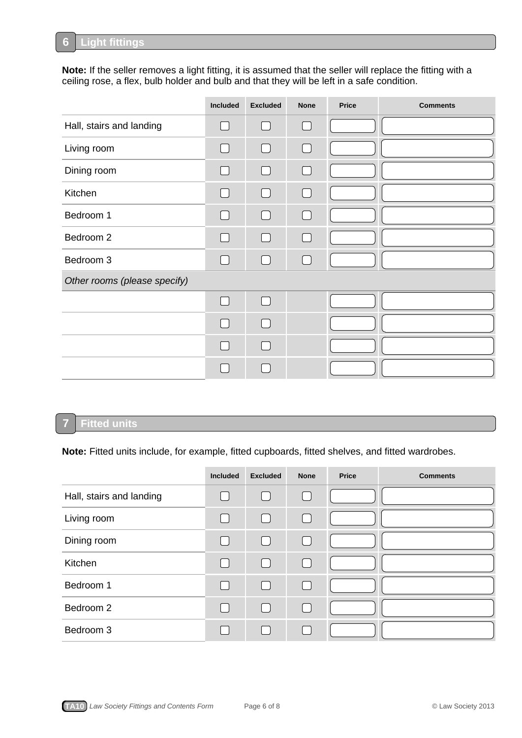#### **Light fittings 6**

**Note:** If the seller removes a light fitting, it is assumed that the seller will replace the fitting with a ceiling rose, a flex, bulb holder and bulb and that they will be left in a safe condition.

|                              | Included       | <b>Excluded</b>   | <b>None</b> | <b>Price</b> | <b>Comments</b> |
|------------------------------|----------------|-------------------|-------------|--------------|-----------------|
| Hall, stairs and landing     | $\cup$         | $\mathbb{L}$      | ⊓           |              |                 |
| Living room                  |                | $\Box$            | $\Box$      |              |                 |
| Dining room                  |                | $\mathbf{I}$      | $\Box$      |              |                 |
| Kitchen                      | $\Box$         | $\vert \ \ \vert$ | $\Box$      |              |                 |
| Bedroom 1                    | $\Box$         | $\Box$            | $\Box$      |              |                 |
| Bedroom 2                    | $\Box$         | $\Box$            | $\Box$      |              |                 |
| Bedroom 3                    | $\Box$         | $\Box$            | $\Box$      |              |                 |
| Other rooms (please specify) |                |                   |             |              |                 |
|                              | $\Box$         | $\vert \ \ \vert$ |             |              |                 |
|                              | $\mathbb{R}^n$ |                   |             |              |                 |
|                              |                |                   |             |              |                 |
|                              |                |                   |             |              |                 |

## **Fitted units**

**7**

**Note:** Fitted units include, for example, fitted cupboards, fitted shelves, and fitted wardrobes.

|                          | <b>Included</b>   | <b>Excluded</b> | <b>None</b> | <b>Price</b> | <b>Comments</b> |
|--------------------------|-------------------|-----------------|-------------|--------------|-----------------|
| Hall, stairs and landing |                   | $\Box$          | $\Box$      |              |                 |
| Living room              | $\sim$            | $\Box$          | П           |              |                 |
| Dining room              | $\sim$            | $\Box$          | $\Box$      |              |                 |
| Kitchen                  | $\overline{a}$    | $\Box$          | $\Box$      |              |                 |
| Bedroom 1                | $\vert \ \ \vert$ | $\Box$          | $\Box$      |              |                 |
| Bedroom 2                | $\Box$            | $\Box$          | $\Box$      |              |                 |
| Bedroom 3                |                   |                 |             |              |                 |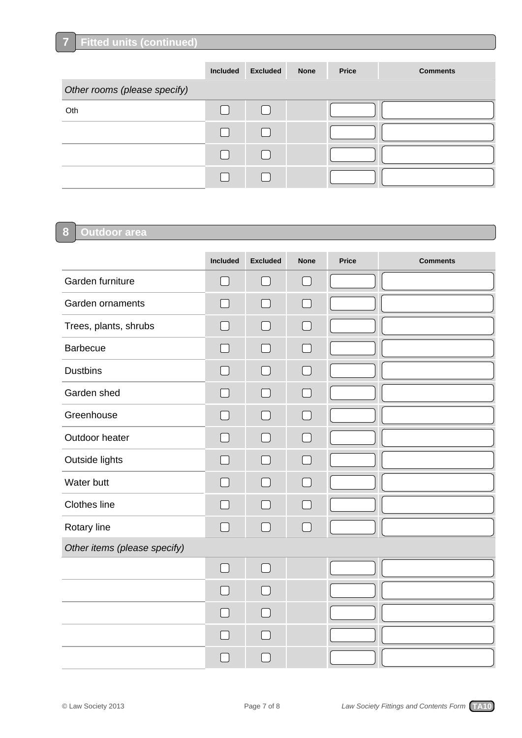**7**

|                              | <b>Included</b> | <b>Excluded</b> | <b>None</b> | <b>Price</b> | <b>Comments</b> |
|------------------------------|-----------------|-----------------|-------------|--------------|-----------------|
| Other rooms (please specify) |                 |                 |             |              |                 |
| Oth                          |                 |                 |             |              |                 |
|                              |                 |                 |             |              |                 |
|                              |                 |                 |             |              |                 |
|                              |                 |                 |             |              |                 |

### **Outdoor area 8**

|                              | Included | <b>Excluded</b> | <b>None</b> | <b>Price</b> | <b>Comments</b> |
|------------------------------|----------|-----------------|-------------|--------------|-----------------|
| Garden furniture             | $\Box$   | $\Box$          | $\Box$      |              |                 |
| Garden ornaments             |          | $\Box$          |             |              |                 |
| Trees, plants, shrubs        |          | $\blacksquare$  |             |              |                 |
| <b>Barbecue</b>              |          | $\blacksquare$  |             |              |                 |
| <b>Dustbins</b>              |          |                 |             |              |                 |
| Garden shed                  |          |                 |             |              |                 |
| Greenhouse                   |          |                 |             |              |                 |
| Outdoor heater               |          |                 |             |              |                 |
| Outside lights               |          | $\Box$          |             |              |                 |
| Water butt                   |          |                 |             |              |                 |
| Clothes line                 |          |                 |             |              |                 |
| Rotary line                  |          |                 |             |              |                 |
| Other items (please specify) |          |                 |             |              |                 |
|                              | $\Box$   | $\Box$          |             |              |                 |
|                              |          |                 |             |              |                 |
|                              |          |                 |             |              |                 |
|                              |          |                 |             |              |                 |
|                              |          |                 |             |              |                 |